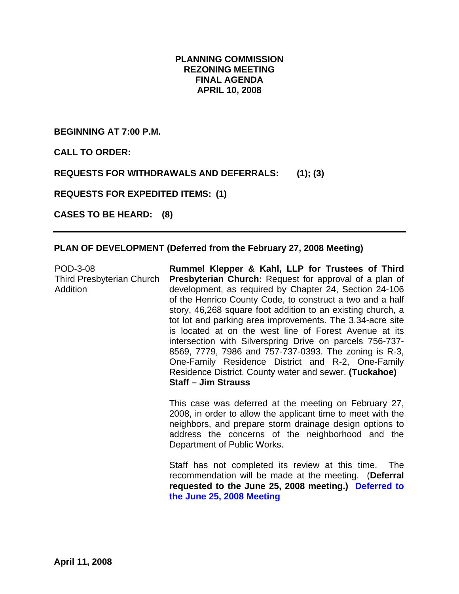# **PLANNING COMMISSION REZONING MEETING FINAL AGENDA APRIL 10, 2008**

**BEGINNING AT 7:00 P.M.** 

**CALL TO ORDER:** 

**REQUESTS FOR WITHDRAWALS AND DEFERRALS: (1); (3)** 

**REQUESTS FOR EXPEDITED ITEMS: (1)** 

**CASES TO BE HEARD: (8)** 

#### **PLAN OF DEVELOPMENT (Deferred from the February 27, 2008 Meeting)**

| POD-3-08<br><b>Third Presbyterian Church</b><br>Addition | Rummel Klepper & Kahl, LLP for Trustees of Third<br><b>Presbyterian Church:</b> Request for approval of a plan of<br>development, as required by Chapter 24, Section 24-106<br>of the Henrico County Code, to construct a two and a half<br>story, 46,268 square foot addition to an existing church, a<br>tot lot and parking area improvements. The 3.34-acre site<br>is located at on the west line of Forest Avenue at its<br>intersection with Silverspring Drive on parcels 756-737-<br>8569, 7779, 7986 and 757-737-0393. The zoning is R-3,<br>One-Family Residence District and R-2, One-Family<br>Residence District. County water and sewer. (Tuckahoe)<br><b>Staff - Jim Strauss</b> |
|----------------------------------------------------------|--------------------------------------------------------------------------------------------------------------------------------------------------------------------------------------------------------------------------------------------------------------------------------------------------------------------------------------------------------------------------------------------------------------------------------------------------------------------------------------------------------------------------------------------------------------------------------------------------------------------------------------------------------------------------------------------------|
|                                                          | This case was deferred at the meeting on February 27,<br>2008, in order to allow the applicant time to meet with the<br>neighbors, and prepare storm drainage design options to<br>address the concerns of the neighborhood and the<br>Department of Public Works.                                                                                                                                                                                                                                                                                                                                                                                                                               |
|                                                          | Staff has not completed its review at this time<br>The                                                                                                                                                                                                                                                                                                                                                                                                                                                                                                                                                                                                                                           |

Staff has not completed its review at this time. The recommendation will be made at the meeting. (**Deferral requested to the June 25, 2008 meeting.) Deferred to the June 25, 2008 Meeting**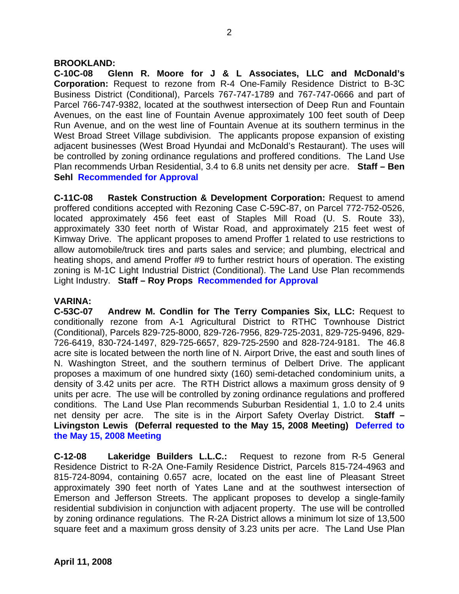#### **BROOKLAND:**

**C-10C-08 Glenn R. Moore for J & L Associates, LLC and McDonald's Corporation:** Request to rezone from R-4 One-Family Residence District to B-3C Business District (Conditional), Parcels 767-747-1789 and 767-747-0666 and part of Parcel 766-747-9382, located at the southwest intersection of Deep Run and Fountain Avenues, on the east line of Fountain Avenue approximately 100 feet south of Deep Run Avenue, and on the west line of Fountain Avenue at its southern terminus in the West Broad Street Village subdivision. The applicants propose expansion of existing adjacent businesses (West Broad Hyundai and McDonald's Restaurant). The uses will be controlled by zoning ordinance regulations and proffered conditions. The Land Use Plan recommends Urban Residential, 3.4 to 6.8 units net density per acre. **Staff – Ben Sehl Recommended for Approval**

**C-11C-08 Rastek Construction & Development Corporation:** Request to amend proffered conditions accepted with Rezoning Case C-59C-87, on Parcel 772-752-0526, located approximately 456 feet east of Staples Mill Road (U. S. Route 33), approximately 330 feet north of Wistar Road, and approximately 215 feet west of Kimway Drive. The applicant proposes to amend Proffer 1 related to use restrictions to allow automobile/truck tires and parts sales and service; and plumbing, electrical and heating shops, and amend Proffer #9 to further restrict hours of operation. The existing zoning is M-1C Light Industrial District (Conditional). The Land Use Plan recommends Light Industry. **Staff – Roy Props Recommended for Approval**

#### **VARINA:**

**C-53C-07 Andrew M. Condlin for The Terry Companies Six, LLC:** Request to conditionally rezone from A-1 Agricultural District to RTHC Townhouse District (Conditional), Parcels 829-725-8000, 829-726-7956, 829-725-2031, 829-725-9496, 829- 726-6419, 830-724-1497, 829-725-6657, 829-725-2590 and 828-724-9181. The 46.8 acre site is located between the north line of N. Airport Drive, the east and south lines of N. Washington Street, and the southern terminus of Delbert Drive. The applicant proposes a maximum of one hundred sixty (160) semi-detached condominium units, a density of 3.42 units per acre. The RTH District allows a maximum gross density of 9 units per acre. The use will be controlled by zoning ordinance regulations and proffered conditions. The Land Use Plan recommends Suburban Residential 1, 1.0 to 2.4 units net density per acre. The site is in the Airport Safety Overlay District. **Staff – Livingston Lewis (Deferral requested to the May 15, 2008 Meeting) Deferred to the May 15, 2008 Meeting** 

**C-12-08 Lakeridge Builders L.L.C.:** Request to rezone from R-5 General Residence District to R-2A One-Family Residence District, Parcels 815-724-4963 and 815-724-8094, containing 0.657 acre, located on the east line of Pleasant Street approximately 390 feet north of Yates Lane and at the southwest intersection of Emerson and Jefferson Streets. The applicant proposes to develop a single-family residential subdivision in conjunction with adjacent property. The use will be controlled by zoning ordinance regulations. The R-2A District allows a minimum lot size of 13,500 square feet and a maximum gross density of 3.23 units per acre. The Land Use Plan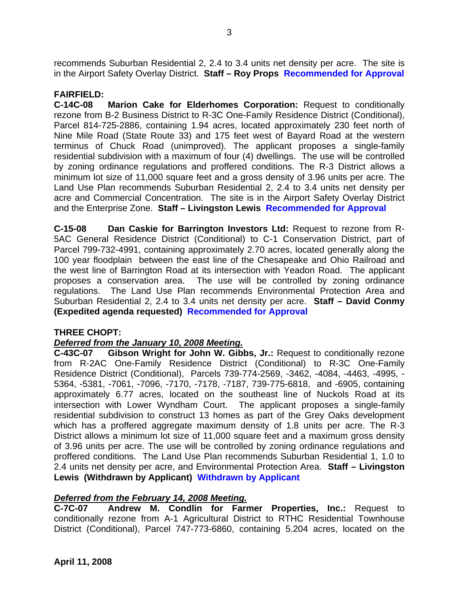recommends Suburban Residential 2, 2.4 to 3.4 units net density per acre. The site is in the Airport Safety Overlay District. **Staff – Roy Props Recommended for Approval**

# **FAIRFIELD:**

**C-14C-08 Marion Cake for Elderhomes Corporation:** Request to conditionally rezone from B-2 Business District to R-3C One-Family Residence District (Conditional), Parcel 814-725-2886, containing 1.94 acres, located approximately 230 feet north of Nine Mile Road (State Route 33) and 175 feet west of Bayard Road at the western terminus of Chuck Road (unimproved). The applicant proposes a single-family residential subdivision with a maximum of four (4) dwellings. The use will be controlled by zoning ordinance regulations and proffered conditions. The R-3 District allows a minimum lot size of 11,000 square feet and a gross density of 3.96 units per acre. The Land Use Plan recommends Suburban Residential 2, 2.4 to 3.4 units net density per acre and Commercial Concentration. The site is in the Airport Safety Overlay District and the Enterprise Zone. **Staff – Livingston Lewis Recommended for Approval**

**C-15-08 Dan Caskie for Barrington Investors Ltd:** Request to rezone from R-5AC General Residence District (Conditional) to C-1 Conservation District, part of Parcel 799-732-4991, containing approximately 2.70 acres, located generally along the 100 year floodplain between the east line of the Chesapeake and Ohio Railroad and the west line of Barrington Road at its intersection with Yeadon Road. The applicant proposes a conservation area. The use will be controlled by zoning ordinance regulations. The Land Use Plan recommends Environmental Protection Area and Suburban Residential 2, 2.4 to 3.4 units net density per acre. **Staff – David Conmy (Expedited agenda requested) Recommended for Approval**

# **THREE CHOPT:**

# *Deferred from the January 10, 2008 Meeting.*

**C-43C-07 Gibson Wright for John W. Gibbs, Jr.:** Request to conditionally rezone from R-2AC One-Family Residence District (Conditional) to R-3C One-Family Residence District (Conditional), Parcels 739-774-2569, -3462, -4084, -4463, -4995, - 5364, -5381, -7061, -7096, -7170, -7178, -7187, 739-775-6818, and -6905, containing approximately 6.77 acres, located on the southeast line of Nuckols Road at its intersection with Lower Wyndham Court. The applicant proposes a single-family residential subdivision to construct 13 homes as part of the Grey Oaks development which has a proffered aggregate maximum density of 1.8 units per acre. The R-3 District allows a minimum lot size of 11,000 square feet and a maximum gross density of 3.96 units per acre. The use will be controlled by zoning ordinance regulations and proffered conditions. The Land Use Plan recommends Suburban Residential 1, 1.0 to 2.4 units net density per acre, and Environmental Protection Area. **Staff – Livingston Lewis (Withdrawn by Applicant) Withdrawn by Applicant**

# *Deferred from the February 14, 2008 Meeting.*

**C-7C-07 Andrew M. Condlin for Farmer Properties, Inc.:** Request to conditionally rezone from A-1 Agricultural District to RTHC Residential Townhouse District (Conditional), Parcel 747-773-6860, containing 5.204 acres, located on the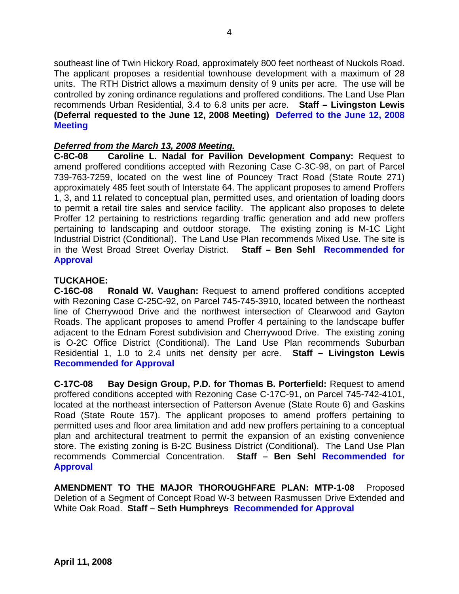southeast line of Twin Hickory Road, approximately 800 feet northeast of Nuckols Road. The applicant proposes a residential townhouse development with a maximum of 28 units. The RTH District allows a maximum density of 9 units per acre. The use will be controlled by zoning ordinance regulations and proffered conditions. The Land Use Plan recommends Urban Residential, 3.4 to 6.8 units per acre. **Staff – Livingston Lewis (Deferral requested to the June 12, 2008 Meeting) Deferred to the June 12, 2008 Meeting** 

### *Deferred from the March 13, 2008 Meeting.*

**C-8C-08 Caroline L. Nadal for Pavilion Development Company:** Request to amend proffered conditions accepted with Rezoning Case C-3C-98, on part of Parcel 739-763-7259, located on the west line of Pouncey Tract Road (State Route 271) approximately 485 feet south of Interstate 64. The applicant proposes to amend Proffers 1, 3, and 11 related to conceptual plan, permitted uses, and orientation of loading doors to permit a retail tire sales and service facility. The applicant also proposes to delete Proffer 12 pertaining to restrictions regarding traffic generation and add new proffers pertaining to landscaping and outdoor storage. The existing zoning is M-1C Light Industrial District (Conditional). The Land Use Plan recommends Mixed Use. The site is in the West Broad Street Overlay District. **Staff – Ben Sehl Recommended for Approval**

#### **TUCKAHOE:**

**C-16C-08 Ronald W. Vaughan:** Request to amend proffered conditions accepted with Rezoning Case C-25C-92, on Parcel 745-745-3910, located between the northeast line of Cherrywood Drive and the northwest intersection of Clearwood and Gayton Roads. The applicant proposes to amend Proffer 4 pertaining to the landscape buffer adjacent to the Ednam Forest subdivision and Cherrywood Drive. The existing zoning is O-2C Office District (Conditional). The Land Use Plan recommends Suburban Residential 1, 1.0 to 2.4 units net density per acre. **Staff – Livingston Lewis Recommended for Approval**

**C-17C-08 Bay Design Group, P.D. for Thomas B. Porterfield:** Request to amend proffered conditions accepted with Rezoning Case C-17C-91, on Parcel 745-742-4101, located at the northeast intersection of Patterson Avenue (State Route 6) and Gaskins Road (State Route 157). The applicant proposes to amend proffers pertaining to permitted uses and floor area limitation and add new proffers pertaining to a conceptual plan and architectural treatment to permit the expansion of an existing convenience store. The existing zoning is B-2C Business District (Conditional). The Land Use Plan recommends Commercial Concentration. **Staff – Ben Sehl Recommended for Approval** 

**AMENDMENT TO THE MAJOR THOROUGHFARE PLAN: MTP-1-08** Proposed Deletion of a Segment of Concept Road W-3 between Rasmussen Drive Extended and White Oak Road. **Staff – Seth Humphreys Recommended for Approval**